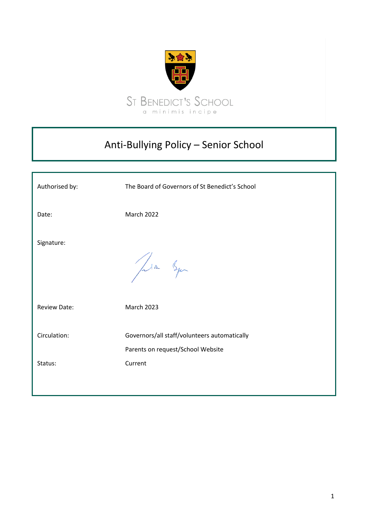

# Anti-Bullying Policy – Senior School

| Authorised by:          | The Board of Governors of St Benedict's School                                               |
|-------------------------|----------------------------------------------------------------------------------------------|
| Date:                   | <b>March 2022</b>                                                                            |
| Signature:              | Jula Squ                                                                                     |
| <b>Review Date:</b>     | <b>March 2023</b>                                                                            |
| Circulation:<br>Status: | Governors/all staff/volunteers automatically<br>Parents on request/School Website<br>Current |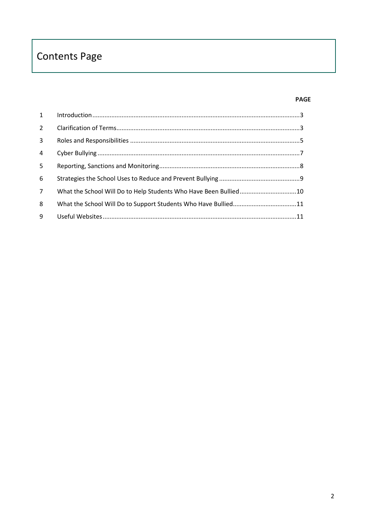# **Contents Page**

# **PAGE**

| $1 \quad$      |                                                                  |  |
|----------------|------------------------------------------------------------------|--|
| $2^{\circ}$    |                                                                  |  |
| 3 <sup>7</sup> |                                                                  |  |
| $\overline{4}$ |                                                                  |  |
| 5              |                                                                  |  |
| 6              |                                                                  |  |
| $7^{\circ}$    | What the School Will Do to Help Students Who Have Been Bullied10 |  |
| 8              |                                                                  |  |
| 9              |                                                                  |  |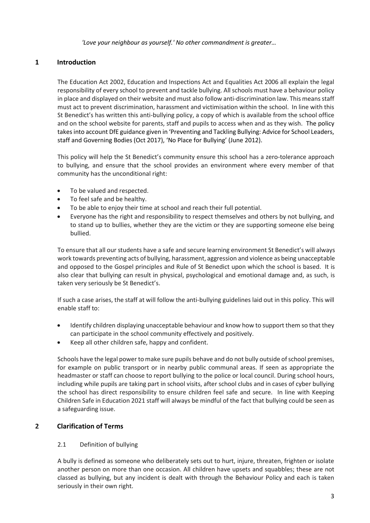*'Love your neighbour as yourself.' No other commandment is greater…*

# <span id="page-2-0"></span>**1 Introduction**

The Education Act 2002, Education and Inspections Act and Equalities Act 2006 all explain the legal responsibility of every school to prevent and tackle bullying. All schools must have a behaviour policy in place and displayed on their website and must also follow anti-discrimination law. This means staff must act to prevent discrimination, harassment and victimisation within the school. In line with this St Benedict's has written this anti-bullying policy, a copy of which is available from the school office and on the school website for parents, staff and pupils to access when and as they wish. The policy takes into account DfE guidance given in 'Preventing and Tackling Bullying: Advice for School Leaders, staff and Governing Bodies (Oct 2017), 'No Place for Bullying' (June 2012).

This policy will help the St Benedict's community ensure this school has a zero-tolerance approach to bullying, and ensure that the school provides an environment where every member of that community has the unconditional right:

- To be valued and respected.
- To feel safe and be healthy.
- To be able to enjoy their time at school and reach their full potential.
- Everyone has the right and responsibility to respect themselves and others by not bullying, and to stand up to bullies, whether they are the victim or they are supporting someone else being bullied.

To ensure that all our students have a safe and secure learning environment St Benedict's will always work towards preventing acts of bullying, harassment, aggression and violence as being unacceptable and opposed to the Gospel principles and Rule of St Benedict upon which the school is based. It is also clear that bullying can result in physical, psychological and emotional damage and, as such, is taken very seriously be St Benedict's.

If such a case arises, the staff at will follow the anti-bullying guidelines laid out in this policy. This will enable staff to:

- Identify children displaying unacceptable behaviour and know how to support them so that they can participate in the school community effectively and positively.
- Keep all other children safe, happy and confident.

Schools have the legal power to make sure pupils behave and do not bully outside of school premises, for example on public transport or in nearby public communal areas. If seen as appropriate the headmaster or staff can choose to report bullying to the police or local council. During school hours, including while pupils are taking part in school visits, after school clubs and in cases of cyber bullying the school has direct responsibility to ensure children feel safe and secure. In line with Keeping Children Safe in Education 2021 staff will always be mindful of the fact that bullying could be seen as a safeguarding issue.

## <span id="page-2-1"></span>**2 Clarification of Terms**

## 2.1 Definition of bullying

A bully is defined as someone who deliberately sets out to hurt, injure, threaten, frighten or isolate another person on more than one occasion. All children have upsets and squabbles; these are not classed as bullying, but any incident is dealt with through the Behaviour Policy and each is taken seriously in their own right.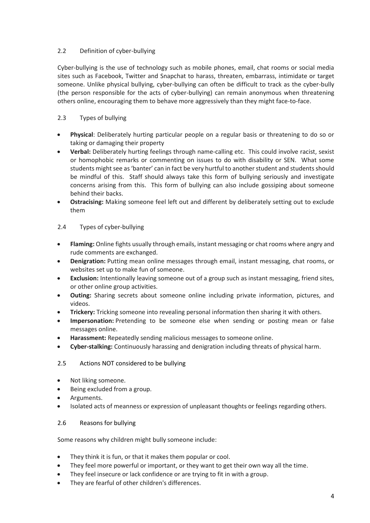## 2.2 Definition of cyber-bullying

Cyber-bullying is the use of technology such as mobile phones, email, chat rooms or social media sites such as Facebook, Twitter and Snapchat to harass, threaten, embarrass, intimidate or target someone. Unlike physical bullying, cyber-bullying can often be difficult to track as the cyber-bully (the person responsible for the acts of cyber-bullying) can remain anonymous when threatening others online, encouraging them to behave more aggressively than they might face-to-face.

## 2.3 Types of bullying

- **Physical**: Deliberately hurting particular people on a regular basis or threatening to do so or taking or damaging their property
- **Verbal:** Deliberately hurting feelings through name-calling etc. This could involve racist, sexist or homophobic remarks or commenting on issues to do with disability or SEN. What some students might see as 'banter' can in fact be very hurtful to another student and students should be mindful of this. Staff should always take this form of bullying seriously and investigate concerns arising from this. This form of bullying can also include gossiping about someone behind their backs.
- **Ostracising:** Making someone feel left out and different by deliberately setting out to exclude them

## 2.4 Types of cyber-bullying

- **Flaming:** Online fights usually through emails, instant messaging or chat rooms where angry and rude comments are exchanged.
- **Denigration:** Putting mean online messages through email, instant messaging, chat rooms, or websites set up to make fun of someone.
- **Exclusion:** Intentionally leaving someone out of a group such as instant messaging, friend sites, or other online group activities.
- **Outing:** Sharing secrets about someone online including private information, pictures, and videos.
- **Trickery:** Tricking someone into revealing personal information then sharing it with others.
- **Impersonation:** Pretending to be someone else when sending or posting mean or false messages online.
- **Harassment:** Repeatedly sending malicious messages to someone online.
- **Cyber-stalking:** Continuously harassing and denigration including threats of physical harm.

## 2.5 Actions NOT considered to be bullying

- Not liking someone.
- Being excluded from a group.
- Arguments.
- Isolated acts of meanness or expression of unpleasant thoughts or feelings regarding others.

## 2.6 Reasons for bullying

Some reasons why children might bully someone include:

- They think it is fun, or that it makes them popular or cool.
- They feel more powerful or important, or they want to get their own way all the time.
- They feel insecure or lack confidence or are trying to fit in with a group.
- They are fearful of other children's differences.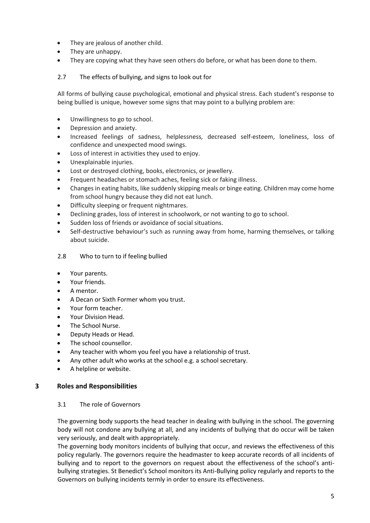- They are jealous of another child.
- They are unhappy.
- They are copying what they have seen others do before, or what has been done to them.

## 2.7 The effects of bullying, and signs to look out for

All forms of bullying cause psychological, emotional and physical stress. Each student's response to being bullied is unique, however some signs that may point to a bullying problem are:

- Unwillingness to go to school.
- Depression and anxiety.
- Increased feelings of sadness, helplessness, decreased self-esteem, loneliness, loss of confidence and unexpected mood swings.
- Loss of interest in activities they used to enjoy.
- Unexplainable injuries.
- Lost or destroyed clothing, books, electronics, or jewellery.
- Frequent headaches or stomach aches, feeling sick or faking illness.
- Changes in eating habits, like suddenly skipping meals or binge eating. Children may come home from school hungry because they did not eat lunch.
- Difficulty sleeping or frequent nightmares.
- Declining grades, loss of interest in schoolwork, or not wanting to go to school.
- Sudden loss of friends or avoidance of social situations.
- Self-destructive behaviour's such as running away from home, harming themselves, or talking about suicide.

## 2.8 Who to turn to if feeling bullied

- Your parents.
- Your friends.
- A mentor.
- A Decan or Sixth Former whom you trust.
- Your form teacher.
- Your Division Head.
- The School Nurse.
- Deputy Heads or Head.
- The school counsellor.
- Any teacher with whom you feel you have a relationship of trust.
- Any other adult who works at the school e.g. a school secretary.
- A helpline or website.

## <span id="page-4-0"></span>**3 Roles and Responsibilities**

## 3.1 The role of Governors

The governing body supports the head teacher in dealing with bullying in the school. The governing body will not condone any bullying at all, and any incidents of bullying that do occur will be taken very seriously, and dealt with appropriately.

The governing body monitors incidents of bullying that occur, and reviews the effectiveness of this policy regularly. The governors require the headmaster to keep accurate records of all incidents of bullying and to report to the governors on request about the effectiveness of the school's antibullying strategies. St Benedict's School monitors its Anti-Bullying policy regularly and reports to the Governors on bullying incidents termly in order to ensure its effectiveness.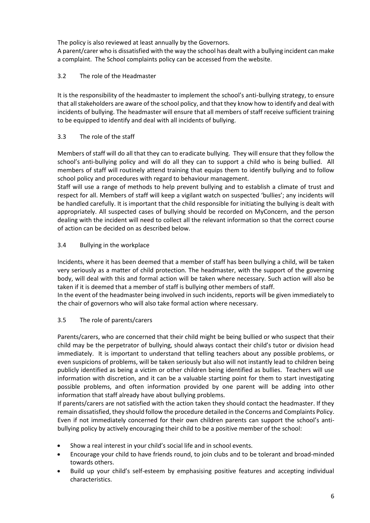The policy is also reviewed at least annually by the Governors.

A parent/carer who is dissatisfied with the way the school has dealt with a bullying incident can make a complaint. The School complaints policy can be accessed from the website.

## 3.2 The role of the Headmaster

It is the responsibility of the headmaster to implement the school's anti-bullying strategy, to ensure that all stakeholders are aware of the school policy, and that they know how to identify and deal with incidents of bullying. The headmaster will ensure that all members of staff receive sufficient training to be equipped to identify and deal with all incidents of bullying.

## 3.3 The role of the staff

Members of staff will do all that they can to eradicate bullying. They will ensure that they follow the school's anti-bullying policy and will do all they can to support a child who is being bullied. All members of staff will routinely attend training that equips them to identify bullying and to follow school policy and procedures with regard to behaviour management.

Staff will use a range of methods to help prevent bullying and to establish a climate of trust and respect for all. Members of staff will keep a vigilant watch on suspected 'bullies'; any incidents will be handled carefully. It is important that the child responsible for initiating the bullying is dealt with appropriately. All suspected cases of bullying should be recorded on MyConcern, and the person dealing with the incident will need to collect all the relevant information so that the correct course of action can be decided on as described below.

## 3.4 Bullying in the workplace

Incidents, where it has been deemed that a member of staff has been bullying a child, will be taken very seriously as a matter of child protection. The headmaster, with the support of the governing body, will deal with this and formal action will be taken where necessary. Such action will also be taken if it is deemed that a member of staff is bullying other members of staff.

In the event of the headmaster being involved in such incidents, reports will be given immediately to the chair of governors who will also take formal action where necessary.

## 3.5 The role of parents/carers

Parents/carers, who are concerned that their child might be being bullied or who suspect that their child may be the perpetrator of bullying, should always contact their child's tutor or division head immediately. It is important to understand that telling teachers about any possible problems, or even suspicions of problems, will be taken seriously but also will not instantly lead to children being publicly identified as being a victim or other children being identified as bullies. Teachers will use information with discretion, and it can be a valuable starting point for them to start investigating possible problems, and often information provided by one parent will be adding into other information that staff already have about bullying problems.

If parents/carers are not satisfied with the action taken they should contact the headmaster. If they remain dissatisfied, they should follow the procedure detailed in the Concerns and Complaints Policy. Even if not immediately concerned for their own children parents can support the school's antibullying policy by actively encouraging their child to be a positive member of the school:

- Show a real interest in your child's social life and in school events.
- Encourage your child to have friends round, to join clubs and to be tolerant and broad-minded towards others.
- Build up your child's self-esteem by emphasising positive features and accepting individual characteristics.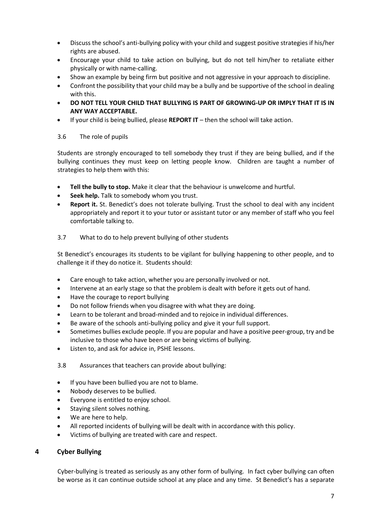- Discuss the school's anti-bullying policy with your child and suggest positive strategies if his/her rights are abused.
- Encourage your child to take action on bullying, but do not tell him/her to retaliate either physically or with name-calling.
- Show an example by being firm but positive and not aggressive in your approach to discipline.
- Confront the possibility that your child may be a bully and be supportive of the school in dealing with this.
- **DO NOT TELL YOUR CHILD THAT BULLYING IS PART OF GROWING-UP OR IMPLY THAT IT IS IN ANY WAY ACCEPTABLE.**
- If your child is being bullied, please **REPORT IT**  then the school will take action.

## 3.6 The role of pupils

Students are strongly encouraged to tell somebody they trust if they are being bullied, and if the bullying continues they must keep on letting people know. Children are taught a number of strategies to help them with this:

- **Tell the bully to stop.** Make it clear that the behaviour is unwelcome and hurtful.
- **Seek help.** Talk to somebody whom you trust.
- **Report it.** St. Benedict's does not tolerate bullying. Trust the school to deal with any incident appropriately and report it to your tutor or assistant tutor or any member of staff who you feel comfortable talking to.

## 3.7 What to do to help prevent bullying of other students

St Benedict's encourages its students to be vigilant for bullying happening to other people, and to challenge it if they do notice it. Students should:

- Care enough to take action, whether you are personally involved or not.
- Intervene at an early stage so that the problem is dealt with before it gets out of hand.
- Have the courage to report bullying
- Do not follow friends when you disagree with what they are doing.
- Learn to be tolerant and broad-minded and to rejoice in individual differences.
- Be aware of the schools anti-bullying policy and give it your full support.
- Sometimes bullies exclude people. If you are popular and have a positive peer-group, try and be inclusive to those who have been or are being victims of bullying.
- Listen to, and ask for advice in, PSHE lessons.
- 3.8 Assurances that teachers can provide about bullying:
- If you have been bullied you are not to blame.
- Nobody deserves to be bullied.
- Everyone is entitled to enjoy school.
- Staying silent solves nothing.
- We are here to help.
- All reported incidents of bullying will be dealt with in accordance with this policy.
- Victims of bullying are treated with care and respect.

## <span id="page-6-0"></span>**4 Cyber Bullying**

Cyber-bullying is treated as seriously as any other form of bullying. In fact cyber bullying can often be worse as it can continue outside school at any place and any time. St Benedict's has a separate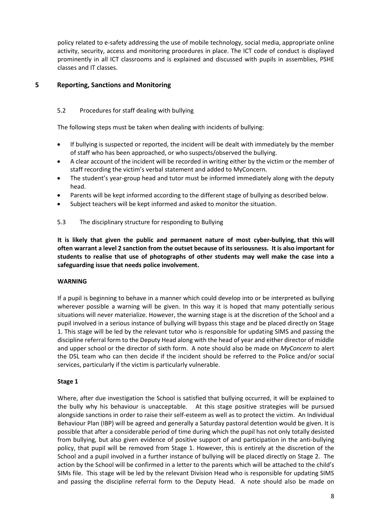policy related to e-safety addressing the use of mobile technology, social media, appropriate online activity, security, access and monitoring procedures in place. The ICT code of conduct is displayed prominently in all ICT classrooms and is explained and discussed with pupils in assemblies, PSHE classes and IT classes.

## <span id="page-7-0"></span>**5 Reporting, Sanctions and Monitoring**

## 5.2 Procedures for staff dealing with bullying

The following steps must be taken when dealing with incidents of bullying:

- If bullying is suspected or reported, the incident will be dealt with immediately by the member of staff who has been approached, or who suspects/observed the bullying.
- A clear account of the incident will be recorded in writing either by the victim or the member of staff recording the victim's verbal statement and added to MyConcern.
- The student's year-group head and tutor must be informed immediately along with the deputy head.
- Parents will be kept informed according to the different stage of bullying as described below.
- Subject teachers will be kept informed and asked to monitor the situation.

## 5.3 The disciplinary structure for responding to Bullying

**It is likely that given the public and permanent nature of most cyber-bullying, that this will often warrant a level 2 sanction from the outset because of its seriousness. It is also important for students to realise that use of photographs of other students may well make the case into a safeguarding issue that needs police involvement.**

#### **WARNING**

If a pupil is beginning to behave in a manner which could develop into or be interpreted as bullying wherever possible a warning will be given. In this way it is hoped that many potentially serious situations will never materialize. However, the warning stage is at the discretion of the School and a pupil involved in a serious instance of bullying will bypass this stage and be placed directly on Stage 1. This stage will be led by the relevant tutor who is responsible for updating SIMS and passing the discipline referral form to the Deputy Head along with the head of year and either director of middle and upper school or the director of sixth form. A note should also be made on *MyConcern* to alert the DSL team who can then decide if the incident should be referred to the Police and/or social services, particularly if the victim is particularly vulnerable.

## **Stage 1**

Where, after due investigation the School is satisfied that bullying occurred, it will be explained to the bully why his behaviour is unacceptable. At this stage positive strategies will be pursued alongside sanctions in order to raise their self-esteem as well as to protect the victim. An Individual Behaviour Plan (IBP) will be agreed and generally a Saturday pastoral detention would be given. It is possible that after a considerable period of time during which the pupil has not only totally desisted from bullying, but also given evidence of positive support of and participation in the anti-bullying policy, that pupil will be removed from Stage 1. However, this is entirely at the discretion of the School and a pupil involved in a further instance of bullying will be placed directly on Stage 2. The action by the School will be confirmed in a letter to the parents which will be attached to the child's SIMs file. This stage will be led by the relevant Division Head who is responsible for updating SIMS and passing the discipline referral form to the Deputy Head. A note should also be made on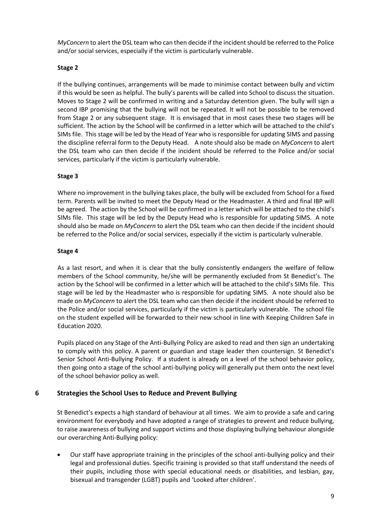*MyConcern* to alert the DSL team who can then decide if the incident should be referred to the Police and/or social services, especially if the victim is particularly vulnerable.

#### **Stage 2**

If the bullying continues, arrangements will be made to minimise contact between bully and victim if this would be seen as helpful. The bully's parents will be called into School to discuss the situation. Moves to Stage 2 will be confirmed in writing and a Saturday detention given. The bully will sign a second IBP promising that the bullying will not be repeated. It will not be possible to be removed from Stage 2 or any subsequent stage. It is envisaged that in most cases these two stages will be sufficient. The action by the School will be confirmed in a letter which will be attached to the child's SIMs file. This stage will be led by the Head of Year who is responsible for updating SIMS and passing the discipline referral form to the Deputy Head. A note should also be made on *MyConcern* to alert the DSL team who can then decide if the incident should be referred to the Police and/or social services, particularly if the victim is particularly vulnerable.

## **Stage 3**

Where no improvement in the bullying takes place, the bully will be excluded from School for a fixed term. Parents will be invited to meet the Deputy Head or the Headmaster. A third and final IBP will be agreed. The action by the School will be confirmed in a letter which will be attached to the child's SIMs file. This stage will be led by the Deputy Head who is responsible for updating SIMS. A note should also be made on *MyConcern* to alert the DSL team who can then decide if the incident should be referred to the Police and/or social services, especially if the victim is particularly vulnerable.

#### **Stage 4**

As a last resort, and when it is clear that the bully consistently endangers the welfare of fellow members of the School community, he/she will be permanently excluded from St Benedict's. The action by the School will be confirmed in a letter which will be attached to the child's SIMs file. This stage will be led by the Headmaster who is responsible for updating SIMS. A note should also be made on *MyConcern* to alert the DSL team who can then decide if the incident should be referred to the Police and/or social services, particularly if the victim is particularly vulnerable. The school file on the student expelled will be forwarded to their new school in line with Keeping Children Safe in Education 2020.

Pupils placed on any Stage of the Anti-Bullying Policy are asked to read and then sign an undertaking to comply with this policy. A parent or guardian and stage leader then countersign. St Benedict's Senior School Anti-Bullying Policy. If a student is already on a level of the school behavior policy, then going onto a stage of the school anti-bullying policy will generally put them onto the next level of the school behavior policy as well.

## <span id="page-8-0"></span>**6 Strategies the School Uses to Reduce and Prevent Bullying**

St Benedict's expects a high standard of behaviour at all times. We aim to provide a safe and caring environment for everybody and have adopted a range of strategies to prevent and reduce bullying, to raise awareness of bullying and support victims and those displaying bullying behaviour alongside our overarching Anti-Bullying policy:

• Our staff have appropriate training in the principles of the school anti-bullying policy and their legal and professional duties. Specific training is provided so that staff understand the needs of their pupils, including those with special educational needs or disabilities, and lesbian, gay, bisexual and transgender (LGBT) pupils and 'Looked after children'.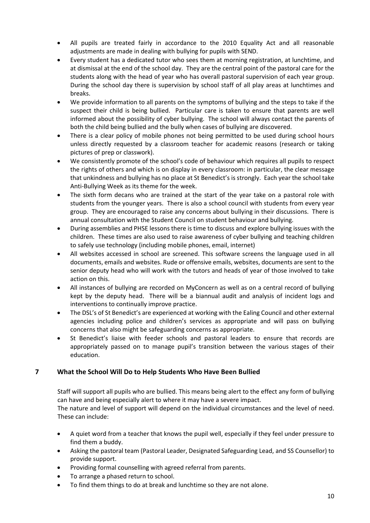- All pupils are treated fairly in accordance to the 2010 Equality Act and all reasonable adjustments are made in dealing with bullying for pupils with SEND.
- Every student has a dedicated tutor who sees them at morning registration, at lunchtime, and at dismissal at the end of the school day. They are the central point of the pastoral care for the students along with the head of year who has overall pastoral supervision of each year group. During the school day there is supervision by school staff of all play areas at lunchtimes and breaks.
- We provide information to all parents on the symptoms of bullying and the steps to take if the suspect their child is being bullied. Particular care is taken to ensure that parents are well informed about the possibility of cyber bullying. The school will always contact the parents of both the child being bullied and the bully when cases of bullying are discovered.
- There is a clear policy of mobile phones not being permitted to be used during school hours unless directly requested by a classroom teacher for academic reasons (research or taking pictures of prep or classwork).
- We consistently promote of the school's code of behaviour which requires all pupils to respect the rights of others and which is on display in every classroom: in particular, the clear message that unkindness and bullying has no place at St Benedict's is strongly. Each year the school take Anti-Bullying Week as its theme for the week.
- The sixth form decans who are trained at the start of the year take on a pastoral role with students from the younger years. There is also a school council with students from every year group. They are encouraged to raise any concerns about bullying in their discussions. There is annual consultation with the Student Council on student behaviour and bullying.
- During assemblies and PHSE lessons there is time to discuss and explore bullying issues with the children. These times are also used to raise awareness of cyber bullying and teaching children to safely use technology (including mobile phones, email, internet)
- All websites accessed in school are screened. This software screens the language used in all documents, emails and websites. Rude or offensive emails, websites, documents are sent to the senior deputy head who will work with the tutors and heads of year of those involved to take action on this.
- All instances of bullying are recorded on MyConcern as well as on a central record of bullying kept by the deputy head. There will be a biannual audit and analysis of incident logs and interventions to continually improve practice.
- The DSL's of St Benedict's are experienced at working with the Ealing Council and other external agencies including police and children's services as appropriate and will pass on bullying concerns that also might be safeguarding concerns as appropriate.
- St Benedict's liaise with feeder schools and pastoral leaders to ensure that records are appropriately passed on to manage pupil's transition between the various stages of their education.

## <span id="page-9-0"></span>**7 What the School Will Do to Help Students Who Have Been Bullied**

Staff will support all pupils who are bullied. This means being alert to the effect any form of bullying can have and being especially alert to where it may have a severe impact.

The nature and level of support will depend on the individual circumstances and the level of need. These can include:

- A quiet word from a teacher that knows the pupil well, especially if they feel under pressure to find them a buddy.
- Asking the pastoral team (Pastoral Leader, Designated Safeguarding Lead, and SS Counsellor) to provide support.
- Providing formal counselling with agreed referral from parents.
- To arrange a phased return to school.
- To find them things to do at break and lunchtime so they are not alone.